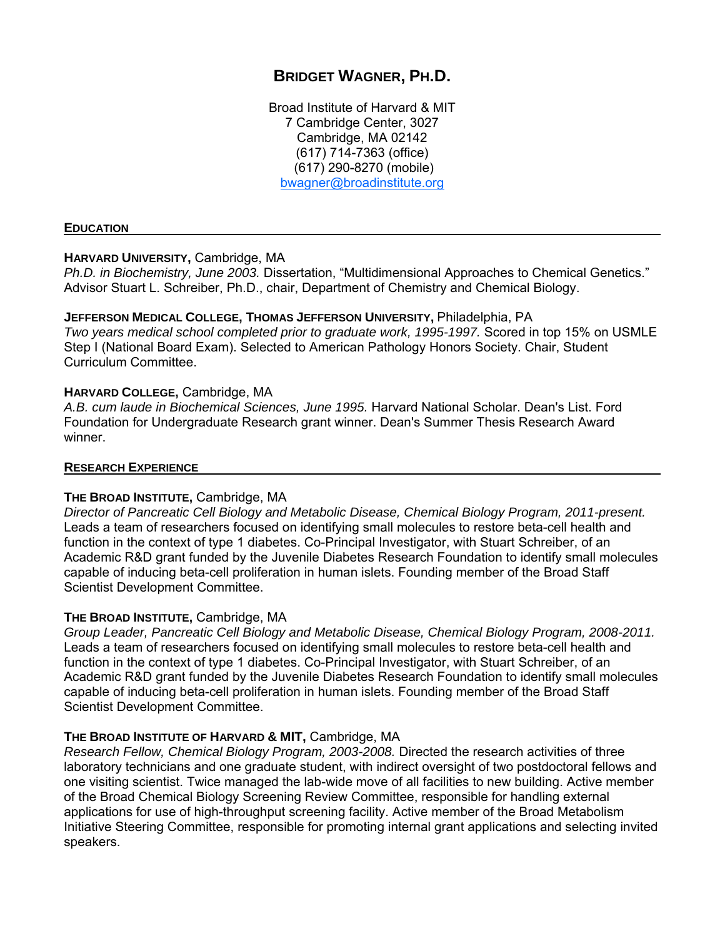# **BRIDGET WAGNER, PH.D.**

Broad Institute of Harvard & MIT 7 Cambridge Center, 3027 Cambridge, MA 02142 (617) 714-7363 (office) (617) 290-8270 (mobile) bwagner@broadinstitute.org

### **EDUCATION**

### **HARVARD UNIVERSITY,** Cambridge, MA

*Ph.D. in Biochemistry, June 2003.* Dissertation, "Multidimensional Approaches to Chemical Genetics." Advisor Stuart L. Schreiber, Ph.D., chair, Department of Chemistry and Chemical Biology.

**JEFFERSON MEDICAL COLLEGE, THOMAS JEFFERSON UNIVERSITY,** Philadelphia, PA *Two years medical school completed prior to graduate work, 1995-1997.* Scored in top 15% on USMLE Step I (National Board Exam). Selected to American Pathology Honors Society. Chair, Student Curriculum Committee.

### **HARVARD COLLEGE,** Cambridge, MA

*A.B. cum laude in Biochemical Sciences, June 1995.* Harvard National Scholar. Dean's List. Ford Foundation for Undergraduate Research grant winner. Dean's Summer Thesis Research Award winner.

### **RESEARCH EXPERIENCE**

### **THE BROAD INSTITUTE,** Cambridge, MA

*Director of Pancreatic Cell Biology and Metabolic Disease, Chemical Biology Program, 2011-present.* Leads a team of researchers focused on identifying small molecules to restore beta-cell health and function in the context of type 1 diabetes. Co-Principal Investigator, with Stuart Schreiber, of an Academic R&D grant funded by the Juvenile Diabetes Research Foundation to identify small molecules capable of inducing beta-cell proliferation in human islets. Founding member of the Broad Staff Scientist Development Committee.

### **THE BROAD INSTITUTE,** Cambridge, MA

*Group Leader, Pancreatic Cell Biology and Metabolic Disease, Chemical Biology Program, 2008-2011.*  Leads a team of researchers focused on identifying small molecules to restore beta-cell health and function in the context of type 1 diabetes. Co-Principal Investigator, with Stuart Schreiber, of an Academic R&D grant funded by the Juvenile Diabetes Research Foundation to identify small molecules capable of inducing beta-cell proliferation in human islets. Founding member of the Broad Staff Scientist Development Committee.

### **THE BROAD INSTITUTE OF HARVARD & MIT,** Cambridge, MA

*Research Fellow, Chemical Biology Program, 2003-2008.* Directed the research activities of three laboratory technicians and one graduate student, with indirect oversight of two postdoctoral fellows and one visiting scientist. Twice managed the lab-wide move of all facilities to new building. Active member of the Broad Chemical Biology Screening Review Committee, responsible for handling external applications for use of high-throughput screening facility. Active member of the Broad Metabolism Initiative Steering Committee, responsible for promoting internal grant applications and selecting invited speakers.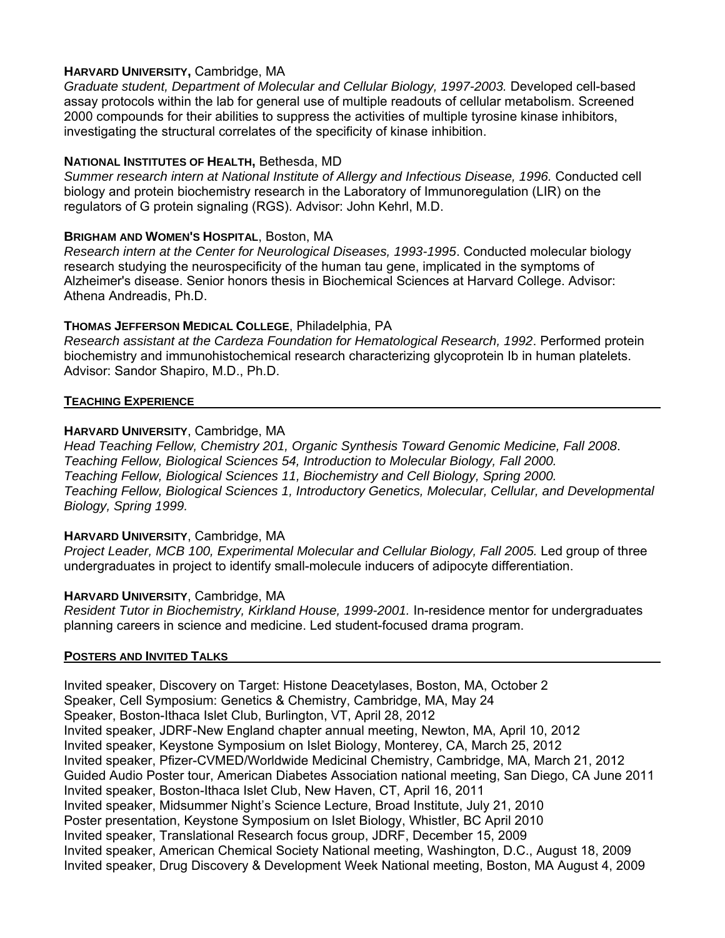### **HARVARD UNIVERSITY,** Cambridge, MA

*Graduate student, Department of Molecular and Cellular Biology, 1997-2003.* Developed cell-based assay protocols within the lab for general use of multiple readouts of cellular metabolism. Screened 2000 compounds for their abilities to suppress the activities of multiple tyrosine kinase inhibitors, investigating the structural correlates of the specificity of kinase inhibition.

# **NATIONAL INSTITUTES OF HEALTH,** Bethesda, MD

*Summer research intern at National Institute of Allergy and Infectious Disease, 1996.* Conducted cell biology and protein biochemistry research in the Laboratory of Immunoregulation (LIR) on the regulators of G protein signaling (RGS). Advisor: John Kehrl, M.D.

### **BRIGHAM AND WOMEN'S HOSPITAL**, Boston, MA

*Research intern at the Center for Neurological Diseases, 1993-1995*. Conducted molecular biology research studying the neurospecificity of the human tau gene, implicated in the symptoms of Alzheimer's disease. Senior honors thesis in Biochemical Sciences at Harvard College. Advisor: Athena Andreadis, Ph.D.

# **THOMAS JEFFERSON MEDICAL COLLEGE**, Philadelphia, PA

*Research assistant at the Cardeza Foundation for Hematological Research, 1992*. Performed protein biochemistry and immunohistochemical research characterizing glycoprotein Ib in human platelets. Advisor: Sandor Shapiro, M.D., Ph.D.

### **TEACHING EXPERIENCE**

### **HARVARD UNIVERSITY**, Cambridge, MA

*Head Teaching Fellow, Chemistry 201, Organic Synthesis Toward Genomic Medicine, Fall 2008*. *Teaching Fellow, Biological Sciences 54, Introduction to Molecular Biology, Fall 2000. Teaching Fellow, Biological Sciences 11, Biochemistry and Cell Biology, Spring 2000. Teaching Fellow, Biological Sciences 1, Introductory Genetics, Molecular, Cellular, and Developmental Biology, Spring 1999.* 

### **HARVARD UNIVERSITY**, Cambridge, MA

*Project Leader, MCB 100, Experimental Molecular and Cellular Biology, Fall 2005.* Led group of three undergraduates in project to identify small-molecule inducers of adipocyte differentiation.

### **HARVARD UNIVERSITY**, Cambridge, MA

*Resident Tutor in Biochemistry, Kirkland House, 1999-2001.* In-residence mentor for undergraduates planning careers in science and medicine. Led student-focused drama program.

### **POSTERS AND INVITED TALKS**

Invited speaker, Discovery on Target: Histone Deacetylases, Boston, MA, October 2 Speaker, Cell Symposium: Genetics & Chemistry, Cambridge, MA, May 24 Speaker, Boston-Ithaca Islet Club, Burlington, VT, April 28, 2012 Invited speaker, JDRF-New England chapter annual meeting, Newton, MA, April 10, 2012 Invited speaker, Keystone Symposium on Islet Biology, Monterey, CA, March 25, 2012 Invited speaker, Pfizer-CVMED/Worldwide Medicinal Chemistry, Cambridge, MA, March 21, 2012 Guided Audio Poster tour, American Diabetes Association national meeting, San Diego, CA June 2011 Invited speaker, Boston-Ithaca Islet Club, New Haven, CT, April 16, 2011 Invited speaker, Midsummer Night's Science Lecture, Broad Institute, July 21, 2010 Poster presentation, Keystone Symposium on Islet Biology, Whistler, BC April 2010 Invited speaker, Translational Research focus group, JDRF, December 15, 2009 Invited speaker, American Chemical Society National meeting, Washington, D.C., August 18, 2009 Invited speaker, Drug Discovery & Development Week National meeting, Boston, MA August 4, 2009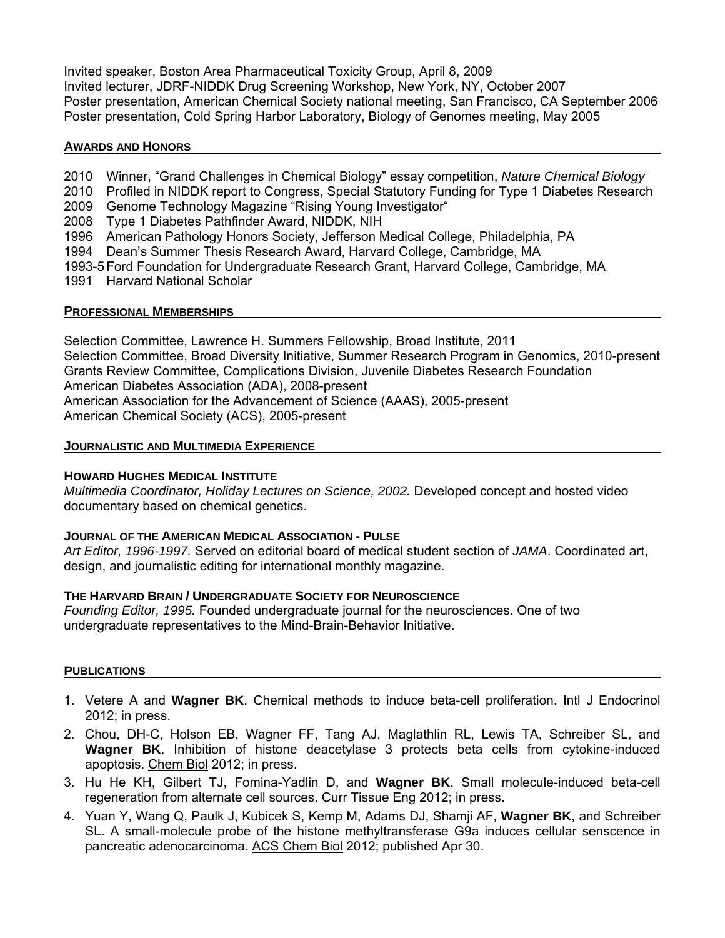Invited speaker, Boston Area Pharmaceutical Toxicity Group, April 8, 2009 Invited lecturer, JDRF-NIDDK Drug Screening Workshop, New York, NY, October 2007 Poster presentation, American Chemical Society national meeting, San Francisco, CA September 2006 Poster presentation, Cold Spring Harbor Laboratory, Biology of Genomes meeting, May 2005

### **AWARDS AND HONORS**

- 2010 Winner, "Grand Challenges in Chemical Biology" essay competition, *Nature Chemical Biology*
- 2010 Profiled in NIDDK report to Congress, Special Statutory Funding for Type 1 Diabetes Research
- 2009 Genome Technology Magazine "Rising Young Investigator"
- 2008 Type 1 Diabetes Pathfinder Award, NIDDK, NIH
- 1996 American Pathology Honors Society, Jefferson Medical College, Philadelphia, PA
- 1994 Dean's Summer Thesis Research Award, Harvard College, Cambridge, MA
- 1993-5 Ford Foundation for Undergraduate Research Grant, Harvard College, Cambridge, MA
- 1991 Harvard National Scholar

### **PROFESSIONAL MEMBERSHIPS**

Selection Committee, Lawrence H. Summers Fellowship, Broad Institute, 2011 Selection Committee, Broad Diversity Initiative, Summer Research Program in Genomics, 2010-present Grants Review Committee, Complications Division, Juvenile Diabetes Research Foundation American Diabetes Association (ADA), 2008-present American Association for the Advancement of Science (AAAS), 2005-present American Chemical Society (ACS), 2005-present

### **JOURNALISTIC AND MULTIMEDIA EXPERIENCE**

### **HOWARD HUGHES MEDICAL INSTITUTE**

*Multimedia Coordinator, Holiday Lectures on Science, 2002.* Developed concept and hosted video documentary based on chemical genetics.

### **JOURNAL OF THE AMERICAN MEDICAL ASSOCIATION - PULSE**

*Art Editor, 1996-1997.* Served on editorial board of medical student section of *JAMA*. Coordinated art, design, and journalistic editing for international monthly magazine.

### **THE HARVARD BRAIN / UNDERGRADUATE SOCIETY FOR NEUROSCIENCE**

*Founding Editor, 1995.* Founded undergraduate journal for the neurosciences. One of two undergraduate representatives to the Mind-Brain-Behavior Initiative.

### **PUBLICATIONS**

- 1. Vetere A and **Wagner BK**. Chemical methods to induce beta-cell proliferation. Intl J Endocrinol 2012; in press.
- 2. Chou, DH-C, Holson EB, Wagner FF, Tang AJ, Maglathlin RL, Lewis TA, Schreiber SL, and **Wagner BK**. Inhibition of histone deacetylase 3 protects beta cells from cytokine-induced apoptosis. Chem Biol 2012; in press.
- 3. Hu He KH, Gilbert TJ, Fomina-Yadlin D, and **Wagner BK**. Small molecule-induced beta-cell regeneration from alternate cell sources. Curr Tissue Eng 2012; in press.
- 4. Yuan Y, Wang Q, Paulk J, Kubicek S, Kemp M, Adams DJ, Shamji AF, **Wagner BK**, and Schreiber SL. A small-molecule probe of the histone methyltransferase G9a induces cellular senscence in pancreatic adenocarcinoma. ACS Chem Biol 2012; published Apr 30.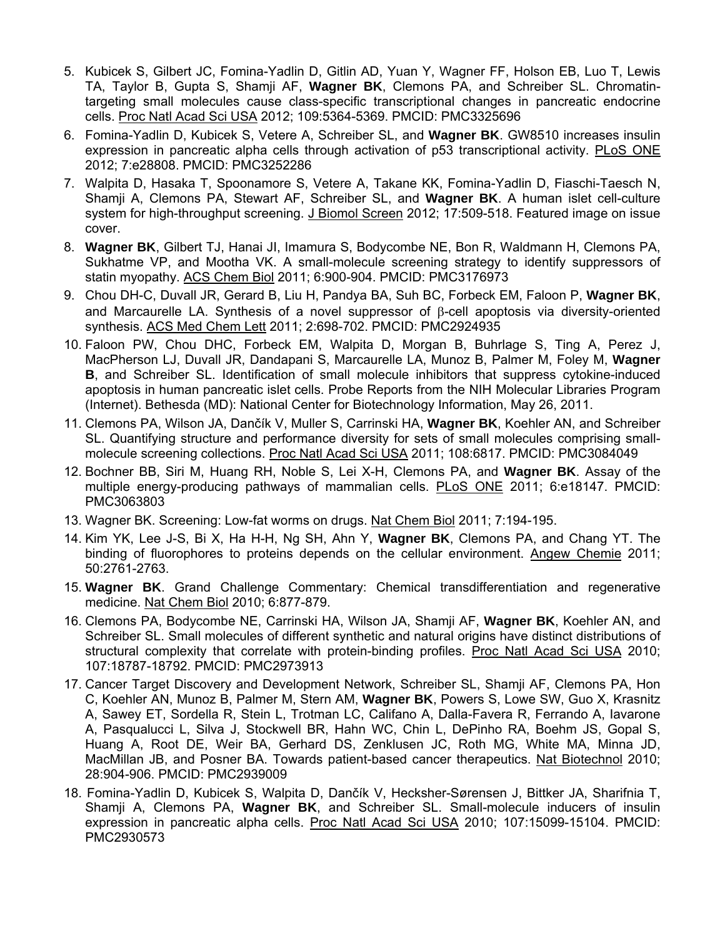- 5. Kubicek S, Gilbert JC, Fomina-Yadlin D, Gitlin AD, Yuan Y, Wagner FF, Holson EB, Luo T, Lewis TA, Taylor B, Gupta S, Shamji AF, **Wagner BK**, Clemons PA, and Schreiber SL. Chromatintargeting small molecules cause class-specific transcriptional changes in pancreatic endocrine cells. Proc Natl Acad Sci USA 2012; 109:5364-5369. PMCID: PMC3325696
- 6. Fomina-Yadlin D, Kubicek S, Vetere A, Schreiber SL, and **Wagner BK**. GW8510 increases insulin expression in pancreatic alpha cells through activation of p53 transcriptional activity. PLoS ONE 2012; 7:e28808. PMCID: PMC3252286
- 7. Walpita D, Hasaka T, Spoonamore S, Vetere A, Takane KK, Fomina-Yadlin D, Fiaschi-Taesch N, Shamji A, Clemons PA, Stewart AF, Schreiber SL, and **Wagner BK**. A human islet cell-culture system for high-throughput screening. J Biomol Screen 2012; 17:509-518. Featured image on issue cover.
- 8. **Wagner BK**, Gilbert TJ, Hanai JI, Imamura S, Bodycombe NE, Bon R, Waldmann H, Clemons PA, Sukhatme VP, and Mootha VK. A small-molecule screening strategy to identify suppressors of statin myopathy. ACS Chem Biol 2011; 6:900-904. PMCID: PMC3176973
- 9. Chou DH-C, Duvall JR, Gerard B, Liu H, Pandya BA, Suh BC, Forbeck EM, Faloon P, **Wagner BK**, and Marcaurelle LA. Synthesis of a novel suppressor of  $\beta$ -cell apoptosis via diversity-oriented synthesis. ACS Med Chem Lett 2011; 2:698-702. PMCID: PMC2924935
- 10. Faloon PW, Chou DHC, Forbeck EM, Walpita D, Morgan B, Buhrlage S, Ting A, Perez J, MacPherson LJ, Duvall JR, Dandapani S, Marcaurelle LA, Munoz B, Palmer M, Foley M, **Wagner B**, and Schreiber SL. Identification of small molecule inhibitors that suppress cytokine-induced apoptosis in human pancreatic islet cells. Probe Reports from the NIH Molecular Libraries Program (Internet). Bethesda (MD): National Center for Biotechnology Information, May 26, 2011.
- 11. Clemons PA, Wilson JA, Dančík V, Muller S, Carrinski HA, **Wagner BK**, Koehler AN, and Schreiber SL. Quantifying structure and performance diversity for sets of small molecules comprising smallmolecule screening collections. Proc Natl Acad Sci USA 2011; 108:6817. PMCID: PMC3084049
- 12. Bochner BB, Siri M, Huang RH, Noble S, Lei X-H, Clemons PA, and **Wagner BK**. Assay of the multiple energy-producing pathways of mammalian cells. PLoS ONE 2011; 6:e18147. PMCID: PMC3063803
- 13. Wagner BK. Screening: Low-fat worms on drugs. Nat Chem Biol 2011; 7:194-195.
- 14. Kim YK, Lee J-S, Bi X, Ha H-H, Ng SH, Ahn Y, **Wagner BK**, Clemons PA, and Chang YT. The binding of fluorophores to proteins depends on the cellular environment. Angew Chemie 2011; 50:2761-2763.
- 15. **Wagner BK**. Grand Challenge Commentary: Chemical transdifferentiation and regenerative medicine. Nat Chem Biol 2010; 6:877-879.
- 16. Clemons PA, Bodycombe NE, Carrinski HA, Wilson JA, Shamji AF, **Wagner BK**, Koehler AN, and Schreiber SL. Small molecules of different synthetic and natural origins have distinct distributions of structural complexity that correlate with protein-binding profiles. Proc Natl Acad Sci USA 2010; 107:18787-18792. PMCID: PMC2973913
- 17. Cancer Target Discovery and Development Network, Schreiber SL, Shamji AF, Clemons PA, Hon C, Koehler AN, Munoz B, Palmer M, Stern AM, **Wagner BK**, Powers S, Lowe SW, Guo X, Krasnitz A, Sawey ET, Sordella R, Stein L, Trotman LC, Califano A, Dalla-Favera R, Ferrando A, Iavarone A, Pasqualucci L, Silva J, Stockwell BR, Hahn WC, Chin L, DePinho RA, Boehm JS, Gopal S, Huang A, Root DE, Weir BA, Gerhard DS, Zenklusen JC, Roth MG, White MA, Minna JD, MacMillan JB, and Posner BA. Towards patient-based cancer therapeutics. Nat Biotechnol 2010; 28:904-906. PMCID: PMC2939009
- 18. Fomina-Yadlin D, Kubicek S, Walpita D, Dančík V, Hecksher-Sørensen J, Bittker JA, Sharifnia T, Shamji A, Clemons PA, **Wagner BK**, and Schreiber SL. Small-molecule inducers of insulin expression in pancreatic alpha cells. Proc Natl Acad Sci USA 2010; 107:15099-15104. PMCID: PMC2930573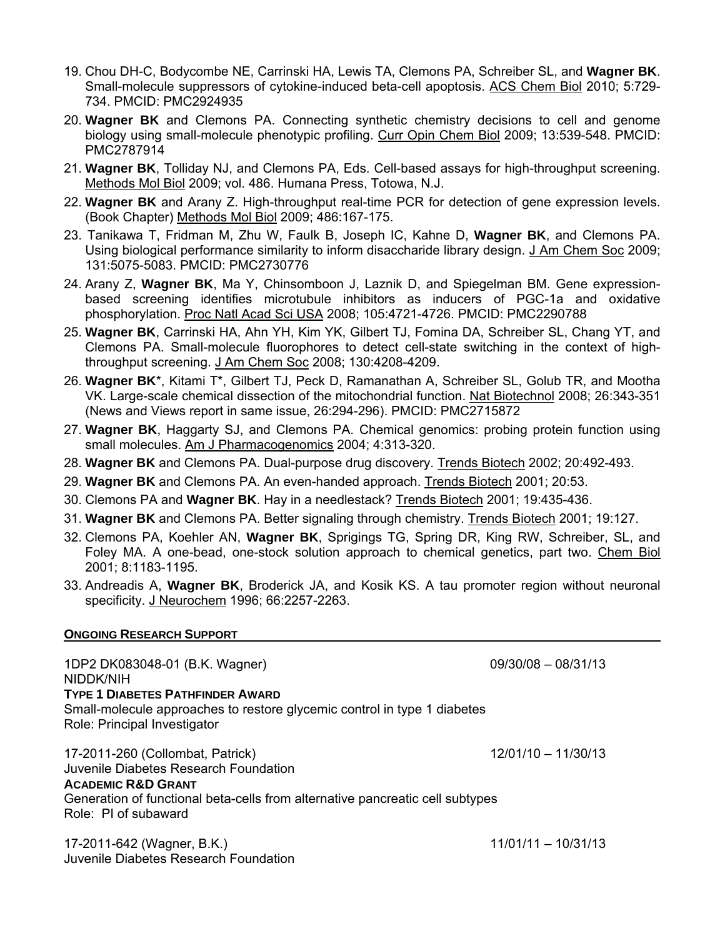- 19. Chou DH-C, Bodycombe NE, Carrinski HA, Lewis TA, Clemons PA, Schreiber SL, and **Wagner BK**. Small-molecule suppressors of cytokine-induced beta-cell apoptosis. ACS Chem Biol 2010; 5:729- 734. PMCID: PMC2924935
- 20. **Wagner BK** and Clemons PA. Connecting synthetic chemistry decisions to cell and genome biology using small-molecule phenotypic profiling. Curr Opin Chem Biol 2009; 13:539-548. PMCID: PMC2787914
- 21. **Wagner BK**, Tolliday NJ, and Clemons PA, Eds. Cell-based assays for high-throughput screening. Methods Mol Biol 2009; vol. 486. Humana Press, Totowa, N.J.
- 22. **Wagner BK** and Arany Z. High-throughput real-time PCR for detection of gene expression levels. (Book Chapter) Methods Mol Biol 2009; 486:167-175.
- 23. Tanikawa T, Fridman M, Zhu W, Faulk B, Joseph IC, Kahne D, **Wagner BK**, and Clemons PA. Using biological performance similarity to inform disaccharide library design. J Am Chem Soc 2009; 131:5075-5083. PMCID: PMC2730776
- 24. Arany Z, **Wagner BK**, Ma Y, Chinsomboon J, Laznik D, and Spiegelman BM. Gene expressionbased screening identifies microtubule inhibitors as inducers of PGC-1a and oxidative phosphorylation. Proc Natl Acad Sci USA 2008; 105:4721-4726. PMCID: PMC2290788
- 25. **Wagner BK**, Carrinski HA, Ahn YH, Kim YK, Gilbert TJ, Fomina DA, Schreiber SL, Chang YT, and Clemons PA. Small-molecule fluorophores to detect cell-state switching in the context of highthroughput screening. J Am Chem Soc 2008; 130:4208-4209.
- 26. **Wagner BK**\*, Kitami T\*, Gilbert TJ, Peck D, Ramanathan A, Schreiber SL, Golub TR, and Mootha VK. Large-scale chemical dissection of the mitochondrial function. Nat Biotechnol 2008; 26:343-351 (News and Views report in same issue, 26:294-296). PMCID: PMC2715872
- 27. **Wagner BK**, Haggarty SJ, and Clemons PA. Chemical genomics: probing protein function using small molecules. Am J Pharmacogenomics 2004; 4:313-320.
- 28. **Wagner BK** and Clemons PA. Dual-purpose drug discovery. Trends Biotech 2002; 20:492-493.
- 29. **Wagner BK** and Clemons PA. An even-handed approach. Trends Biotech 2001; 20:53.
- 30. Clemons PA and **Wagner BK**. Hay in a needlestack? Trends Biotech 2001; 19:435-436.
- 31. **Wagner BK** and Clemons PA. Better signaling through chemistry. Trends Biotech 2001; 19:127.
- 32. Clemons PA, Koehler AN, **Wagner BK**, Sprigings TG, Spring DR, King RW, Schreiber, SL, and Foley MA. A one-bead, one-stock solution approach to chemical genetics, part two. Chem Biol 2001; 8:1183-1195.
- 33. Andreadis A, **Wagner BK**, Broderick JA, and Kosik KS. A tau promoter region without neuronal specificity. J Neurochem 1996; 66:2257-2263.

### **ONGOING RESEARCH SUPPORT**

1DP2 DK083048-01 (B.K. Wagner) 09/30/08 – 08/31/13 NIDDK/NIH **TYPE 1 DIABETES PATHFINDER AWARD** Small-molecule approaches to restore glycemic control in type 1 diabetes Role: Principal Investigator 17-2011-260 (Collombat, Patrick) 12/01/10 – 11/30/13 Juvenile Diabetes Research Foundation **ACADEMIC R&D GRANT** Generation of functional beta-cells from alternative pancreatic cell subtypes Role: PI of subaward

17-2011-642 (Wagner, B.K.) 11/01/11 – 10/31/13 Juvenile Diabetes Research Foundation